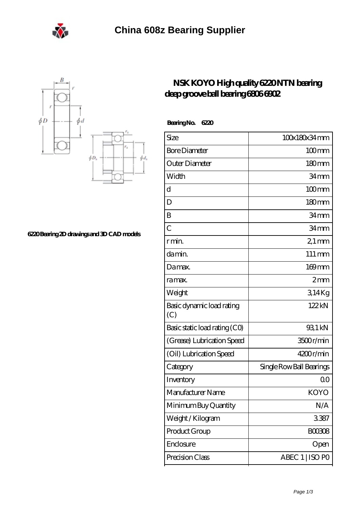



**[6220 Bearing 2D drawings and 3D CAD models](https://m.eheuroantenna.com/pic-636072.html)**

## **[NSK KOYO High quality 6220 NTN bearing](https://m.eheuroantenna.com/skf-6806-2rs-bearing/koyo-6220.html) [deep groove ball bearing 6806 6902](https://m.eheuroantenna.com/skf-6806-2rs-bearing/koyo-6220.html)**

 **Bearing No. 6220**

| Size                             | 100x180x34mm             |
|----------------------------------|--------------------------|
| <b>Bore Diameter</b>             | $100$ mm                 |
| Outer Diameter                   | 180 <sub>mm</sub>        |
| Width                            | 34mm                     |
| d                                | $100$ mm                 |
| D                                | 180 <sub>mm</sub>        |
| B                                | 34 <sub>mm</sub>         |
| $\overline{C}$                   | 34 <sub>mm</sub>         |
| r min.                           | $21 \,\mathrm{mm}$       |
| da min.                          | $111 \,\mathrm{mm}$      |
| Damax.                           | 169mm                    |
| ra max.                          | $2 \text{mm}$            |
| Weight                           | 314Kg                    |
| Basic dynamic load rating<br>(C) | 122kN                    |
| Basic static load rating (CO)    | 93.1 kN                  |
| (Grease) Lubrication Speed       | 3500r/min                |
| (Oil) Lubrication Speed          | 4200r/min                |
| Category                         | Single Row Ball Bearings |
| Inventory                        | Q0                       |
| Manufacturer Name                | KOYO                     |
| Minimum Buy Quantity             | N/A                      |
| Weight/Kilogram                  | 3387                     |
| Product Group                    | <b>BOO3O8</b>            |
| Enclosure                        | Open                     |
| Precision Class                  | ABEC 1   ISO PO          |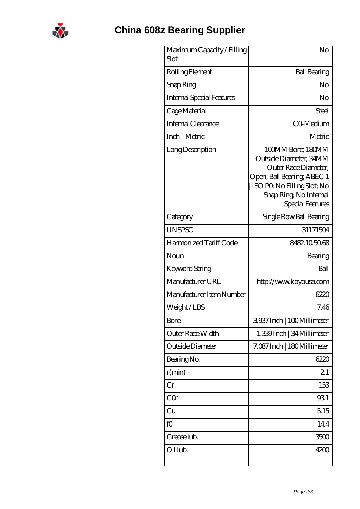

## **[China 608z Bearing Supplier](https://m.eheuroantenna.com)**

| Maximum Capacity / Filling<br>Slot | No                                                                                                                                                                             |
|------------------------------------|--------------------------------------------------------------------------------------------------------------------------------------------------------------------------------|
| Rolling Element                    | <b>Ball Bearing</b>                                                                                                                                                            |
| Snap Ring                          | No                                                                                                                                                                             |
| <b>Internal Special Features</b>   | No                                                                                                                                                                             |
| Cage Material                      | Steel                                                                                                                                                                          |
| Internal Clearance                 | CO-Medium                                                                                                                                                                      |
| Inch - Metric                      | Metric                                                                                                                                                                         |
| Long Description                   | 100MM Bore; 180MM<br>Outside Diameter; 34MM<br>Outer Race Diameter:<br>Open; Ball Bearing; ABEC 1<br>ISO PO, No Filling Slot; No<br>Snap Ring, No Internal<br>Special Features |
| Category                           | Single Row Ball Bearing                                                                                                                                                        |
| <b>UNSPSC</b>                      | 31171504                                                                                                                                                                       |
| Harmonized Tariff Code             | 8482105068                                                                                                                                                                     |
| Noun                               | Bearing                                                                                                                                                                        |
| <b>Keyword String</b>              | Ball                                                                                                                                                                           |
| Manufacturer URL                   | http://www.koyousa.com                                                                                                                                                         |
| Manufacturer Item Number           | 6220                                                                                                                                                                           |
| Weight/LBS                         | 7.46                                                                                                                                                                           |
| Bore                               | 3937Inch   100Millimeter                                                                                                                                                       |
| Outer Race Width                   | 1.339 Inch   34 Millimeter                                                                                                                                                     |
| Outside Diameter                   | 7.087 Inch   180 Millimeter                                                                                                                                                    |
| Bearing No.                        | 6220                                                                                                                                                                           |
| r(min)                             | 21                                                                                                                                                                             |
| Cr                                 | 153                                                                                                                                                                            |
| CQ                                 | 931                                                                                                                                                                            |
| Cu                                 | 5.15                                                                                                                                                                           |
| fO                                 | 144                                                                                                                                                                            |
| Grease lub.                        | 3500                                                                                                                                                                           |
| Oil lub.                           | 4200                                                                                                                                                                           |
|                                    |                                                                                                                                                                                |